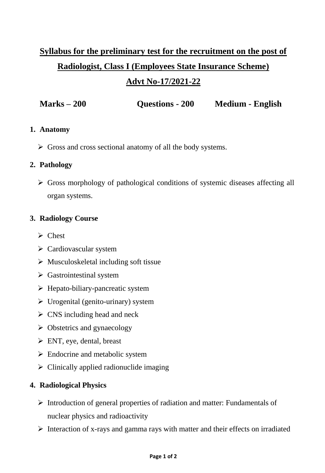# **Syllabus for the preliminary test for the recruitment on the post of Radiologist, Class I (Employees State Insurance Scheme)**

## **Advt No-17/2021-22**

**Marks – 200 Questions - 200 Medium - English** 

#### **1. Anatomy**

Gross and cross sectional anatomy of all the body systems.

### **2. Pathology**

 Gross morphology of pathological conditions of systemic diseases affecting all organ systems.

### **3. Radiology Course**

- $\triangleright$  Chest
- $\triangleright$  Cardiovascular system
- $\triangleright$  Musculoskeletal including soft tissue
- $\triangleright$  Gastrointestinal system
- $\triangleright$  Hepato-biliary-pancreatic system
- $\triangleright$  Urogenital (genito-urinary) system
- $\triangleright$  CNS including head and neck
- $\triangleright$  Obstetrics and gynaecology
- $\triangleright$  ENT, eye, dental, breast
- $\triangleright$  Endocrine and metabolic system
- $\triangleright$  Clinically applied radionuclide imaging

#### **4. Radiological Physics**

- $\triangleright$  Introduction of general properties of radiation and matter: Fundamentals of nuclear physics and radioactivity
- $\triangleright$  Interaction of x-rays and gamma rays with matter and their effects on irradiated